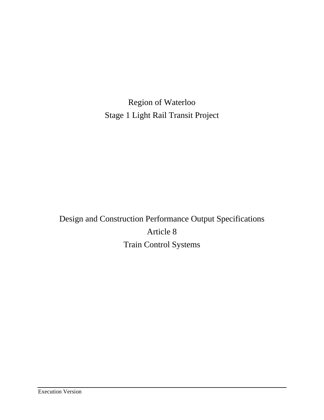Region of Waterloo Stage 1 Light Rail Transit Project

Design and Construction Performance Output Specifications Article 8 Train Control Systems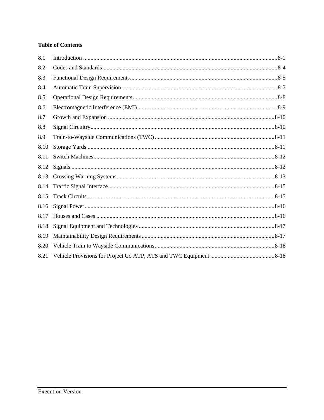# **Table of Contents**

| 8.1  |  |
|------|--|
| 8.2  |  |
| 8.3  |  |
| 8.4  |  |
| 8.5  |  |
| 8.6  |  |
| 8.7  |  |
| 8.8  |  |
| 8.9  |  |
| 8.10 |  |
| 8.11 |  |
| 8.12 |  |
| 8.13 |  |
| 8.14 |  |
| 8.15 |  |
| 8.16 |  |
| 8.17 |  |
| 8.18 |  |
| 8.19 |  |
| 8.20 |  |
| 8.21 |  |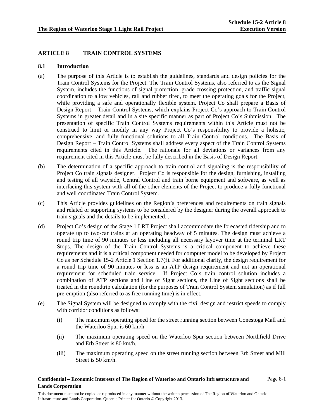# **ARTICLE 8 TRAIN CONTROL SYSTEMS**

### **8.1 Introduction**

- (a) The purpose of this Article is to establish the guidelines, standards and design policies for the Train Control Systems for the Project. The Train Control Systems, also referred to as the Signal System, includes the functions of signal protection, grade crossing protection, and traffic signal coordination to allow vehicles, rail and rubber tired, to meet the operating goals for the Project, while providing a safe and operationally flexible system. Project Co shall prepare a Basis of Design Report – Train Control Systems, which explains Project Co's approach to Train Control Systems in greater detail and in a site specific manner as part of Project Co's Submission. The presentation of specific Train Control Systems requirements within this Article must not be construed to limit or modify in any way Project Co's responsibility to provide a holistic, comprehensive, and fully functional solutions to all Train Control conditions. The Basis of Design Report – Train Control Systems shall address every aspect of the Train Control Systems requirements cited in this Article. The rationale for all deviations or variances from any requirement cited in this Article must be fully described in the Basis of Design Report.
- (b) The determination of a specific approach to train control and signaling is the responsibility of Project Co train signals designer. Project Co is responsible for the design, furnishing, installing and testing of all wayside, Central Control and train borne equipment and software, as well as interfacing this system with all of the other elements of the Project to produce a fully functional and well coordinated Train Control System.
- (c) This Article provides guidelines on the Region's preferences and requirements on train signals and related or supporting systems to be considered by the designer during the overall approach to train signals and the details to be implemented. .
- (d) Project Co's design of the Stage 1 LRT Project shall accommodate the forecasted ridership and to operate up to two-car trains at an operating headway of 5 minutes. The design must achieve a round trip time of 90 minutes or less including all necessary layover time at the terminal LRT Stops. The design of the Train Control Systems is a critical component to achieve these requirements and it is a critical component needed for computer model to be developed by Project Co as per Schedule 15-2 Article 1 Section 1.7(f). For additional clarity, the design requirement for a round trip time of 90 minutes or less is an ATP design requirement and not an operational requirement for scheduled train service. If Project Co's train control solution includes a combination of ATP sections and Line of Sight sections, the Line of Sight sections shall be treated in the roundtrip calculation (for the purposes of Train Control System simulation) as if full pre-emption (also referred to as free running time) is in effect.
- (e) The Signal System will be designed to comply with the civil design and restrict speeds to comply with corridor conditions as follows:
	- (i) The maximum operating speed for the street running section between Conestoga Mall and the Waterloo Spur is 60 km/h.
	- (ii) The maximum operating speed on the Waterloo Spur section between Northfield Drive and Erb Street is 80 km/h.
	- (iii) The maximum operating speed on the street running section between Erb Street and Mill Street is 50 km/h.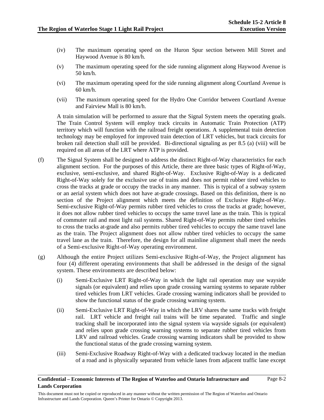Page 8-2

- (iv) The maximum operating speed on the Huron Spur section between Mill Street and Haywood Avenue is 80 km/h.
- (v) The maximum operating speed for the side running alignment along Haywood Avenue is 50 km/h.
- (vi) The maximum operating speed for the side running alignment along Courtland Avenue is 60 km/h.
- (vii) The maximum operating speed for the Hydro One Corridor between Courtland Avenue and Fairview Mall is 80 km/h.

A train simulation will be performed to assure that the Signal System meets the operating goals. The Train Control System will employ track circuits in Automatic Train Protection (ATP) territory which will function with the railroad freight operations. A supplemental train detection technology may be employed for improved train detection of LRT vehicles, but track circuits for broken rail detection shall still be provided. Bi-directional signaling as per 8.5 (a) (viii) will be required on all areas of the LRT where ATP is provided.

- (f) The Signal System shall be designed to address the distinct Right-of-Way characteristics for each alignment section. For the purposes of this Article, there are three basic types of Right-of-Way, exclusive, semi-exclusive, and shared Right-of-Way. Exclusive Right-of-Way is a dedicated Right-of-Way solely for the exclusive use of trains and does not permit rubber tired vehicles to cross the tracks at grade or occupy the tracks in any manner. This is typical of a subway system or an aerial system which does not have at-grade crossings. Based on this definition, there is no section of the Project alignment which meets the definition of Exclusive Right-of-Way. Semi-exclusive Right-of-Way permits rubber tired vehicles to cross the tracks at grade; however, it does not allow rubber tired vehicles to occupy the same travel lane as the train. This is typical of commuter rail and most light rail systems. Shared Right-of-Way permits rubber tired vehicles to cross the tracks at-grade and also permits rubber tired vehicles to occupy the same travel lane as the train. The Project alignment does not allow rubber tired vehicles to occupy the same travel lane as the train. Therefore, the design for all mainline alignment shall meet the needs of a Semi-exclusive Right-of-Way operating environment.
- (g) Although the entire Project utilizes Semi-exclusive Right-of-Way, the Project alignment has four (4) different operating environments that shall be addressed in the design of the signal system. These environments are described below:
	- (i) Semi-Exclusive LRT Right-of-Way in which the light rail operation may use wayside signals (or equivalent) and relies upon grade crossing warning systems to separate rubber tired vehicles from LRT vehicles. Grade crossing warning indicators shall be provided to show the functional status of the grade crossing warning system.
	- (ii) Semi-Exclusive LRT Right-of-Way in which the LRV shares the same tracks with freight rail. LRT vehicle and freight rail trains will be time separated. Traffic and single tracking shall be incorporated into the signal system via wayside signals (or equivalent) and relies upon grade crossing warning systems to separate rubber tired vehicles from LRV and railroad vehicles. Grade crossing warning indicators shall be provided to show the functional status of the grade crossing warning system.
	- (iii) Semi-Exclusive Roadway Right-of-Way with a dedicated trackway located in the median of a road and is physically separated from vehicle lanes from adjacent traffic lane except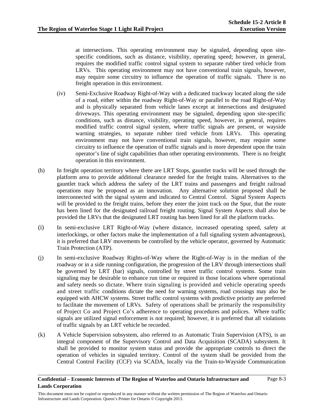at intersections. This operating environment may be signaled, depending upon sitespecific conditions, such as distance, visibility, operating speed; however, in general, requires the modified traffic control signal system to separate rubber tired vehicle from LRVs. This operating environment may not have conventional train signals, however, may require some circuitry to influence the operation of traffic signals. There is no freight operation in this environment.

- (iv) Semi-Exclusive Roadway Right-of-Way with a dedicated trackway located along the side of a road, either within the roadway Right-of-Way or parallel to the road Right-of-Way and is physically separated from vehicle lanes except at intersections and designated driveways. This operating environment may be signaled, depending upon site-specific conditions, such as distance, visibility, operating speed, however, in general, requires modified traffic control signal system, where traffic signals are present, or wayside warning strategies, to separate rubber tired vehicle from LRVs. This operating environment may not have conventional train signals, however, may require some circuitry to influence the operation of traffic signals and is more dependent upon the train operator's line of sight capabilities than other operating environments. There is no freight operation in this environment.
- (h) In freight operation territory where there are LRT Stops, gauntlet tracks will be used through the platform area to provide additional clearance needed for the freight trains. Alternatives to the gauntlet track which address the safety of the LRT trains and passengers and freight railroad operations may be proposed as an innovation. Any alternative solution proposed shall be interconnected with the signal system and indicated to Central Control. Signal System Aspects will be provided to the freight trains, before they enter the joint track on the Spur, that the route has been lined for the designated railroad freight routing. Signal System Aspects shall also be provided the LRVs that the designated LRT routing has been lined for all the platform tracks.
- (i) In semi-exclusive LRT Right-of-Way (where distance, increased operating speed, safety at interlockings, or other factors make the implementation of a full signaling system advantageous), it is preferred that LRV movements be controlled by the vehicle operator, governed by Automatic Train Protection (ATP).
- (j) In semi-exclusive Roadway Rights-of-Way where the Right-of-Way is in the median of the roadway or in a side running configuration, the progression of the LRV through intersections shall be governed by LRT (bar) signals, controlled by street traffic control systems. Some train signaling may be desirable to enhance run time or required in those locations where operational and safety needs so dictate. Where train signaling is provided and vehicle operating speeds and street traffic conditions dictate the need for warning systems, road crossings may also be equipped with AHCW systems. Street traffic control systems with predictive priority are preferred to facilitate the movement of LRVs. Safety of operations shall be primarily the responsibility of Project Co and Project Co's adherence to operating procedures and polices. Where traffic signals are utilized signal enforcement is not required; however, it is preferred that all violations of traffic signals by an LRT vehicle be recorded.
- (k) A Vehicle Supervision subsystem, also referred to as Automatic Train Supervision (ATS), is an integral component of the Supervisory Control and Data Acquisition (SCADA) subsystem. It shall be provided to monitor system status and provide the appropriate controls to direct the operation of vehicles in signaled territory. Control of the system shall be provided from the Central Control Facility (CCF) via SCADA, locally via the Train-to-Wayside Communication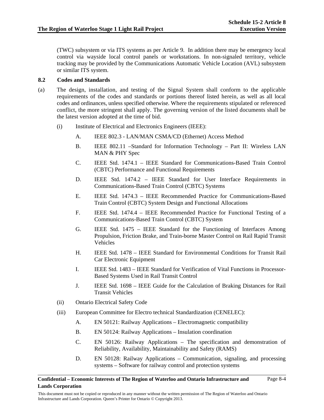(TWC) subsystem or via ITS systems as per Article 9. In addition there may be emergency local control via wayside local control panels or workstations. In non-signaled territory, vehicle tracking may be provided by the Communications Automatic Vehicle Location (AVL) subsystem or similar ITS system.

# **8.2 Codes and Standards**

- (a) The design, installation, and testing of the Signal System shall conform to the applicable requirements of the codes and standards or portions thereof listed herein, as well as all local codes and ordinances, unless specified otherwise. Where the requirements stipulated or referenced conflict, the more stringent shall apply. The governing version of the listed documents shall be the latest version adopted at the time of bid.
	- (i) Institute of Electrical and Electronics Engineers (IEEE):
		- A. IEEE 802.3 LAN/MAN CSMA/CD (Ethernet) Access Method
		- B. IEEE 802.11 –Standard for Information Technology Part II: Wireless LAN MAN & PHY Spec
		- C. IEEE Std. 1474.1 IEEE Standard for Communications-Based Train Control (CBTC) Performance and Functional Requirements
		- D. IEEE Std. 1474.2 IEEE Standard for User Interface Requirements in Communications-Based Train Control (CBTC) Systems
		- E. IEEE Std. 1474.3 IEEE Recommended Practice for Communications-Based Train Control (CBTC) System Design and Functional Allocations
		- F. IEEE Std. 1474.4 IEEE Recommended Practice for Functional Testing of a Communications-Based Train Control (CBTC) System
		- G. IEEE Std. 1475 IEEE Standard for the Functioning of Interfaces Among Propulsion, Friction Brake, and Train-borne Master Control on Rail Rapid Transit Vehicles
		- H. IEEE Std. 1478 IEEE Standard for Environmental Conditions for Transit Rail Car Electronic Equipment
		- I. IEEE Std. 1483 IEEE Standard for Verification of Vital Functions in Processor-Based Systems Used in Rail Transit Control
		- J. IEEE Std. 1698 IEEE Guide for the Calculation of Braking Distances for Rail Transit Vehicles
	- (ii) Ontario Electrical Safety Code
	- (iii) European Committee for Electro technical Standardization (CENELEC):
		- A. EN 50121: Railway Applications Electromagnetic compatibility
		- B. EN 50124: Railway Applications Insulation coordination
		- C. EN 50126: Railway Applications The specification and demonstration of Reliability, Availability, Maintainability and Safety (RAMS)
		- D. EN 50128: Railway Applications Communication, signaling, and processing systems – Software for railway control and protection systems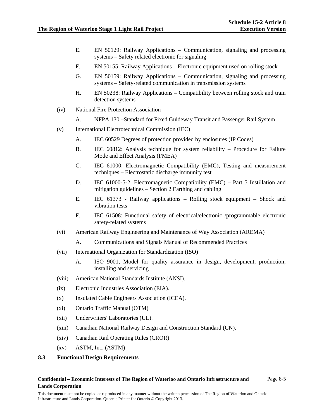- E. EN 50129: Railway Applications Communication, signaling and processing systems – Safety related electronic for signaling
- F. EN 50155: Railway Applications Electronic equipment used on rolling stock
- G. EN 50159: Railway Applications Communication, signaling and processing systems – Safety-related communication in transmission systems
- H. EN 50238: Railway Applications Compatibility between rolling stock and train detection systems
- (iv) National Fire Protection Association
	- A. NFPA 130 –Standard for Fixed Guideway Transit and Passenger Rail System
- (v) International Electrotechnical Commission (IEC)
	- A. IEC 60529 Degrees of protection provided by enclosures (IP Codes)
	- B. IEC 60812: Analysis technique for system reliability Procedure for Failure Mode and Effect Analysis (FMEA)
	- C. IEC 61000: Electromagnetic Compatibility (EMC), Testing and measurement techniques – Electrostatic discharge immunity test
	- D. IEC 61000-5-2, Electromagnetic Compatibility (EMC) Part 5 Instillation and mitigation guidelines – Section 2 Earthing and cabling
	- E. IEC 61373 Railway applications Rolling stock equipment Shock and vibration tests
	- F. IEC 61508: Functional safety of electrical/electronic /programmable electronic safety-related systems
- (vi) American Railway Engineering and Maintenance of Way Association (AREMA)
	- A. Communications and Signals Manual of Recommended Practices
- (vii) International Organization for Standardization (ISO)
	- A. ISO 9001, Model for quality assurance in design, development, production, installing and servicing
- (viii) American National Standards Institute (ANSI).
- (ix) Electronic Industries Association (EIA).
- (x) Insulated Cable Engineers Association (ICEA).
- (xi) Ontario Traffic Manual (OTM)
- (xii) Underwriters' Laboratories (UL).
- (xiii) Canadian National Railway Design and Construction Standard (CN).
- (xiv) Canadian Rail Operating Rules (CROR)
- (xv) ASTM, Inc. (ASTM)

# **8.3 Functional Design Requirements**

#### **Confidential – Economic Interests of The Region of Waterloo and Ontario Infrastructure and Lands Corporation**

This document must not be copied or reproduced in any manner without the written permission of The Region of Waterloo and Ontario Infrastructure and Lands Corporation. Queen's Printer for Ontario © Copyright 2013.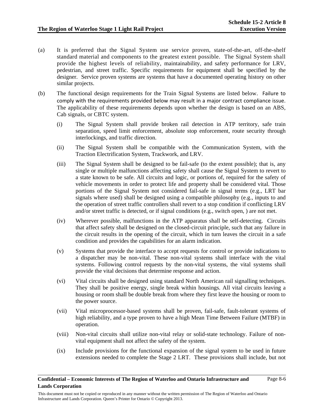- (a) It is preferred that the Signal System use service proven, state-of-the-art, off-the-shelf standard material and components to the greatest extent possible. The Signal System shall provide the highest levels of reliability, maintainability, and safety performance for LRV, pedestrian, and street traffic. Specific requirements for equipment shall be specified by the designer. Service proven systems are systems that have a documented operating history on other similar projects.
- (b) The functional design requirements for the Train Signal Systems are listed below. Failure to comply with the requirements provided below may result in a major contract compliance issue. The applicability of these requirements depends upon whether the design is based on an ABS, Cab signals, or CBTC system.
	- (i) The Signal System shall provide broken rail detection in ATP territory, safe train separation, speed limit enforcement, absolute stop enforcement, route security through interlockings, and traffic direction.
	- (ii) The Signal System shall be compatible with the Communication System, with the Traction Electrification System, Trackwork, and LRV.
	- (iii) The Signal System shall be designed to be fail-safe (to the extent possible); that is, any single or multiple malfunctions affecting safety shall cause the Signal System to revert to a state known to be safe. All circuits and logic, or portions of, required for the safety of vehicle movements in order to protect life and property shall be considered vital. Those portions of the Signal System not considered fail-safe in signal terms (e.g., LRT bar signals where used) shall be designed using a compatible philosophy (e.g., inputs to and the operation of street traffic controllers shall revert to a stop condition if conflicting LRV and/or street traffic is detected, or if signal conditions (e.g., switch open, ) are not met.
	- (iv) Wherever possible, malfunctions in the ATP apparatus shall be self-detecting. Circuits that affect safety shall be designed on the closed-circuit principle, such that any failure in the circuit results in the opening of the circuit, which in turn leaves the circuit in a safe condition and provides the capabilities for an alarm indication.
	- (v) Systems that provide the interface to accept requests for control or provide indications to a dispatcher may be non-vital. These non-vital systems shall interface with the vital systems. Following control requests by the non-vital systems, the vital systems shall provide the vital decisions that determine response and action.
	- (vi) Vital circuits shall be designed using standard North American rail signalling techniques. They shall be positive energy, single break within housings. All vital circuits leaving a housing or room shall be double break from where they first leave the housing or room to the power source.
	- (vii) Vital microprocessor-based systems shall be proven, fail-safe, fault-tolerant systems of high reliability, and a type proven to have a high Mean Time Between Failure (MTBF) in operation.
	- (viii) Non-vital circuits shall utilize non-vital relay or solid-state technology. Failure of nonvital equipment shall not affect the safety of the system.
	- (ix) Include provisions for the functional expansion of the signal system to be used in future extensions needed to complete the Stage 2 LRT. These provisions shall include, but not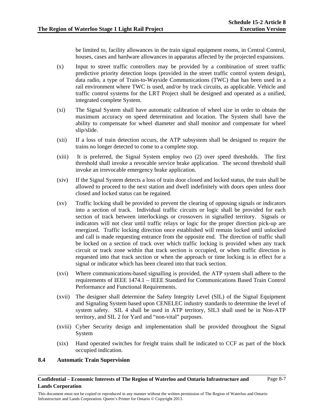be limited to, facility allowances in the train signal equipment rooms, in Central Control, houses, cases and hardware allowances in apparatus affected by the projected expansions.

- (x) Input to street traffic controllers may be provided by a combination of street traffic predictive priority detection loops (provided in the street traffic control system design), data radio, a type of Train-to-Wayside Communications (TWC) that has been used in a rail environment where TWC is used, and/or by track circuits, as applicable. Vehicle and traffic control systems for the LRT Project shall be designed and operated as a unified, integrated complete System.
- (xi) The Signal System shall have automatic calibration of wheel size in order to obtain the maximum accuracy on speed determination and location. The System shall have the ability to compensate for wheel diameter and shall monitor and compensate for wheel slip/slide.
- (xii) If a loss of train detection occurs, the ATP subsystem shall be designed to require the trains no longer detected to come to a complete stop.
- (xiii) It is preferred, the Signal System employ two (2) over speed thresholds. The first threshold shall invoke a revocable service brake application. The second threshold shall invoke an irrevocable emergency brake application.
- (xiv) If the Signal System detects a loss of train door closed and locked status, the train shall be allowed to proceed to the next station and dwell indefinitely with doors open unless door closed and locked status can be regained.
- (xv) Traffic locking shall be provided to prevent the clearing of opposing signals or indicators into a section of track. Individual traffic circuits or logic shall be provided for each section of track between interlockings or crossovers in signalled territory. Signals or indicators will not clear until traffic relays or logic for the proper direction pick-up are energized. Traffic locking direction once established will remain locked until unlocked and call is made requesting entrance from the opposite end. The direction of traffic shall be locked on a section of track over which traffic locking is provided when any track circuit or track zone within that track section is occupied, or when traffic direction is requested into that track section or when the approach or time locking is in effect for a signal or indicator which has been cleared into that track section.
- (xvi) Where communications-based signalling is provided, the ATP system shall adhere to the requirements of IEEE 1474.1 – IEEE Standard for Communications Based Train Control Performance and Functional Requirements.
- (xvii) The designer shall determine the Safety Integrity Level (SIL) of the Signal Equipment and Signaling System based upon CENELEC industry standards to determine the level of system safety. SIL 4 shall be used in ATP territory, SIL3 shall used be in Non-ATP territory, and SIL 2 for Yard and "non-vital" purposes.
- (xviii) Cyber Security design and implementation shall be provided throughout the Signal System
- (xix) Hand operated switches for freight trains shall be indicated to CCF as part of the block occupied indication.

# **8.4 Automatic Train Supervision**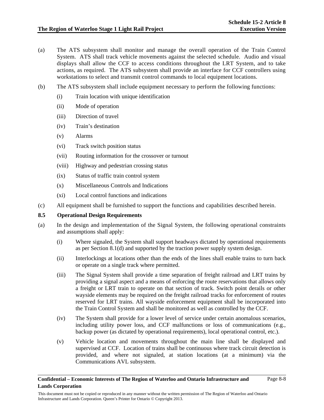- (a) The ATS subsystem shall monitor and manage the overall operation of the Train Control System. ATS shall track vehicle movements against the selected schedule. Audio and visual displays shall allow the CCF to access conditions throughout the LRT System, and to take actions, as required. The ATS subsystem shall provide an interface for CCF controllers using workstations to select and transmit control commands to local equipment locations.
- (b) The ATS subsystem shall include equipment necessary to perform the following functions:
	- (i) Train location with unique identification
	- (ii) Mode of operation
	- (iii) Direction of travel
	- (iv) Train's destination
	- (v) Alarms
	- (vi) Track switch position status
	- (vii) Routing information for the crossover or turnout
	- (viii) Highway and pedestrian crossing status
	- (ix) Status of traffic train control system
	- (x) Miscellaneous Controls and Indications
	- (xi) Local control functions and indications
- (c) All equipment shall be furnished to support the functions and capabilities described herein.

# **8.5 Operational Design Requirements**

- (a) In the design and implementation of the Signal System, the following operational constraints and assumptions shall apply:
	- (i) Where signaled, the System shall support headways dictated by operational requirements as per Section 8.1(d) and supported by the traction power supply system design.
	- (ii) Interlockings at locations other than the ends of the lines shall enable trains to turn back or operate on a single track where permitted.
	- (iii) The Signal System shall provide a time separation of freight railroad and LRT trains by providing a signal aspect and a means of enforcing the route reservations that allows only a freight or LRT train to operate on that section of track. Switch point derails or other wayside elements may be required on the freight railroad tracks for enforcement of routes reserved for LRT trains. All wayside enforcement equipment shall be incorporated into the Train Control System and shall be monitored as well as controlled by the CCF.
	- (iv) The System shall provide for a lower level of service under certain anomalous scenarios, including utility power loss, and CCF malfunctions or loss of communications (e.g., backup power (as dictated by operational requirements), local operational control, etc.).
	- (v) Vehicle location and movements throughout the main line shall be displayed and supervised at CCF. Location of trains shall be continuous where track circuit detection is provided, and where not signaled, at station locations (at a minimum) via the Communications AVL subsystem.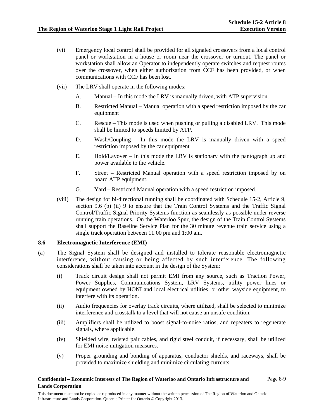- (vi) Emergency local control shall be provided for all signaled crossovers from a local control panel or workstation in a house or room near the crossover or turnout. The panel or workstation shall allow an Operator to independently operate switches and request routes over the crossover, when either authorization from CCF has been provided, or when communications with CCF has been lost.
- (vii) The LRV shall operate in the following modes:
	- A. Manual In this mode the LRV is manually driven, with ATP supervision.
	- B. Restricted Manual Manual operation with a speed restriction imposed by the car equipment
	- C. Rescue This mode is used when pushing or pulling a disabled LRV. This mode shall be limited to speeds limited by ATP.
	- D. Wash/Coupling In this mode the LRV is manually driven with a speed restriction imposed by the car equipment
	- E. Hold/Layover In this mode the LRV is stationary with the pantograph up and power available to the vehicle.
	- F. Street Restricted Manual operation with a speed restriction imposed by on board ATP equipment.
	- G. Yard Restricted Manual operation with a speed restriction imposed.
- (viii) The design for bi-directional running shall be coordinated with Schedule 15-2, Article 9, section 9.6 (b) (ii) 9 to ensure that the Train Control Systems and the Traffic Signal Control/Traffic Signal Priority Systems function as seamlessly as possible under reverse running train operations. On the Waterloo Spur, the design of the Train Control Systems shall support the Baseline Service Plan for the 30 minute revenue train service using a single track operation between 11:00 pm and 1:00 am.

#### **8.6 Electromagnetic Interference (EMI)**

- (a) The Signal System shall be designed and installed to tolerate reasonable electromagnetic interference, without causing or being affected by such interference. The following considerations shall be taken into account in the design of the System:
	- (i) Track circuit design shall not permit EMI from any source, such as Traction Power, Power Supplies, Communications System, LRV Systems, utility power lines or equipment owned by HONI and local electrical utilities, or other wayside equipment, to interfere with its operation.
	- (ii) Audio frequencies for overlay track circuits, where utilized, shall be selected to minimize interference and crosstalk to a level that will not cause an unsafe condition.
	- (iii) Amplifiers shall be utilized to boost signal-to-noise ratios, and repeaters to regenerate signals, where applicable.
	- (iv) Shielded wire, twisted pair cables, and rigid steel conduit, if necessary, shall be utilized for EMI noise mitigation measures.
	- (v) Proper grounding and bonding of apparatus, conductor shields, and raceways, shall be provided to maximize shielding and minimize circulating currents.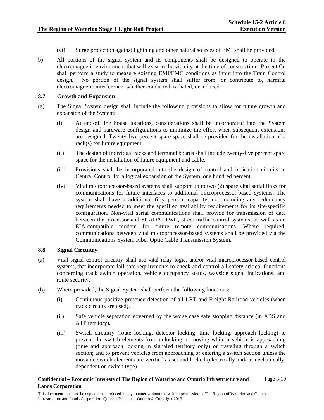- (vi) Surge protection against lightning and other natural sources of EMI shall be provided.
- b) All portions of the signal system and its components shall be designed to operate in the electromagnetic environment that will exist in the vicinity at the time of construction. Project Co shall perform a study to measure existing EMI/EMC conditions as input into the Train Control design. No portion of the signal system shall suffer from, or contribute to, harmful electromagnetic interference, whether conducted, radiated, or induced.

# **8.7 Growth and Expansion**

- (a) The Signal System design shall include the following provisions to allow for future growth and expansion of the System:
	- (i) At end-of line house locations, considerations shall be incorporated into the System design and hardware configurations to minimize the effort when subsequent extensions are designed. Twenty-five percent spare space shall be provided for the installation of a rack(s) for future equipment.
	- (ii) The design of individual racks and terminal boards shall include twenty-five percent spare space for the installation of future equipment and cable.
	- (iii) Provisions shall be incorporated into the design of control and indication circuits to Central Control for a logical expansion of the System, one hundred percent
	- (iv) Vital microprocessor-based systems shall support up to two (2) spare vital serial links for communications for future interfaces to additional microprocessor-based systems. The system shall have a additional fifty percent capacity, not including any redundancy requirements needed to meet the specified availability requirements for its site-specific configuration. Non-vital serial communications shall provide for transmission of data between the processor and SCADA, TWC, street traffic control systems, as well as an EIA-compatible modem for future remote communications. Where required, communications between vital microprocessor-based systems shall be provided via the Communications System Fiber Optic Cable Transmission System.

# **8.8 Signal Circuitry**

- (a) Vital signal control circuitry shall use vital relay logic, and/or vital microprocessor-based control systems, that incorporate fail-safe requirements to check and control all safety critical functions concerning track switch operation, vehicle occupancy status, wayside signal indications, and route security.
- (b) Where provided, the Signal System shall perform the following functions:
	- (i) Continuous positive presence detection of all LRT and Freight Railroad vehicles (when track circuits are used).
	- (ii) Safe vehicle separation governed by the worse case safe stopping distance (in ABS and ATP territory).
	- (iii) Switch circuitry (route locking, detector locking, time locking, approach locking) to prevent the switch elements from unlocking or moving while a vehicle is approaching (time and approach locking in signaled territory only) or traveling through a switch section; and to prevent vehicles from approaching or entering a switch section unless the movable switch elements are verified as set and locked (electrically and/or mechanically, dependent on switch type).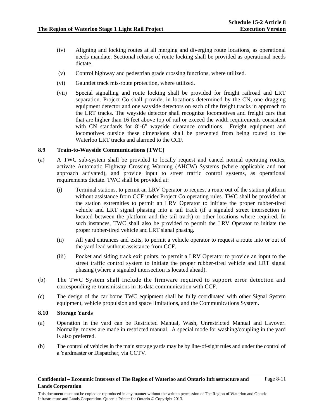- (iv) Aligning and locking routes at all merging and diverging route locations, as operational needs mandate. Sectional release of route locking shall be provided as operational needs dictate.
- (v) Control highway and pedestrian grade crossing functions, where utilized.
- (vi) Gauntlet track mis-route protection, where utilized.
- (vii) Special signalling and route locking shall be provided for freight railroad and LRT separation. Project Co shall provide, in locations determined by the CN, one dragging equipment detector and one wayside detectors on each of the freight tracks in approach to the LRT tracks. The wayside detector shall recognize locomotives and freight cars that that are higher than 16 feet above top of rail or exceed the width requirements consistent with CN standards for 8'-6" wayside clearance conditions. Freight equipment and locomotives outside these dimensions shall be prevented from being routed to the Waterloo LRT tracks and alarmed to the CCF.

# **8.9 Train-to-Wayside Communications (TWC)**

- (a) A TWC sub-system shall be provided to locally request and cancel normal operating routes, activate Automatic Highway Crossing Warning (AHCW) Systems (where applicable and not approach activated), and provide input to street traffic control systems, as operational requirements dictate. TWC shall be provided at:
	- (i) Terminal stations, to permit an LRV Operator to request a route out of the station platform without assistance from CCF under Project Co operating rules. TWC shall be provided at the station extremities to permit an LRV Operator to initiate the proper rubber-tired vehicle and LRT signal phasing into a tail track (if a signaled street intersection is located between the platform and the tail track) or other locations where required. In such instances, TWC shall also be provided to permit the LRV Operator to initiate the proper rubber-tired vehicle and LRT signal phasing.
	- (ii) All yard entrances and exits, to permit a vehicle operator to request a route into or out of the yard lead without assistance from CCF.
	- (iii) Pocket and siding track exit points, to permit a LRV Operator to provide an input to the street traffic control system to initiate the proper rubber-tired vehicle and LRT signal phasing (where a signaled intersection is located ahead).
- (b) The TWC System shall include the firmware required to support error detection and corresponding re-transmissions in its data communication with CCF.
- (c) The design of the car borne TWC equipment shall be fully coordinated with other Signal System equipment, vehicle propulsion and space limitations, and the Communications System.

#### **8.10 Storage Yards**

- (a) Operation in the yard can be Restricted Manual, Wash, Unrestricted Manual and Layover. Normally, moves are made in restricted manual. A special mode for washing/coupling in the yard is also preferred.
- (b) The control of vehicles in the main storage yards may be by line-of-sight rules and under the control of a Yardmaster or Dispatcher, via CCTV.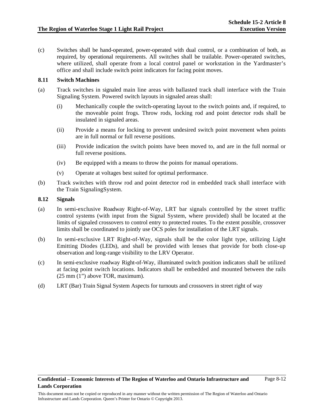(c) Switches shall be hand-operated, power-operated with dual control, or a combination of both, as required, by operational requirements. All switches shall be trailable. Power-operated switches, where utilized, shall operate from a local control panel or workstation in the Yardmaster's office and shall include switch point indicators for facing point moves.

# **8.11 Switch Machines**

- (a) Track switches in signaled main line areas with ballasted track shall interface with the Train Signaling System. Powered switch layouts in signaled areas shall:
	- (i) Mechanically couple the switch-operating layout to the switch points and, if required, to the moveable point frogs. Throw rods, locking rod and point detector rods shall be insulated in signaled areas.
	- (ii) Provide a means for locking to prevent undesired switch point movement when points are in full normal or full reverse positions.
	- (iii) Provide indication the switch points have been moved to, and are in the full normal or full reverse positions.
	- (iv) Be equipped with a means to throw the points for manual operations.
	- (v) Operate at voltages best suited for optimal performance.
- (b) Track switches with throw rod and point detector rod in embedded track shall interface with the Train SignalingSystem.

#### **8.12 Signals**

- (a) In semi-exclusive Roadway Right-of-Way, LRT bar signals controlled by the street traffic control systems (with input from the Signal System, where provided) shall be located at the limits of signaled crossovers to control entry to protected routes. To the extent possible, crossover limits shall be coordinated to jointly use OCS poles for installation of the LRT signals.
- (b) In semi-exclusive LRT Right-of-Way, signals shall be the color light type, utilizing Light Emitting Diodes (LEDs), and shall be provided with lenses that provide for both close-up observation and long-range visibility to the LRV Operator.
- (c) In semi-exclusive roadway Right-of-Way, illuminated switch position indicators shall be utilized at facing point switch locations. Indicators shall be embedded and mounted between the rails (25 mm (1") above TOR, maximum).
- (d) LRT (Bar) Train Signal System Aspects for turnouts and crossovers in street right of way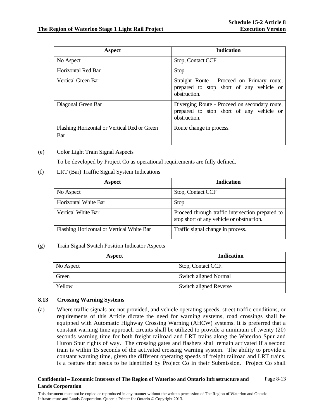| <b>Aspect</b>                                       | <b>Indication</b>                                                                                         |
|-----------------------------------------------------|-----------------------------------------------------------------------------------------------------------|
| No Aspect                                           | Stop, Contact CCF                                                                                         |
| Horizontal Red Bar                                  | <b>Stop</b>                                                                                               |
| Vertical Green Bar                                  | Straight Route - Proceed on Primary route,<br>prepared to stop short of any vehicle or<br>obstruction.    |
| Diagonal Green Bar                                  | Diverging Route - Proceed on secondary route,<br>prepared to stop short of any vehicle or<br>obstruction. |
| Flashing Horizontal or Vertical Red or Green<br>Bar | Route change in process.                                                                                  |

(e) Color Light Train Signal Aspects

To be developed by Project Co as operational requirements are fully defined.

# (f) LRT (Bar) Traffic Signal System Indications

| <b>Aspect</b>                             | <b>Indication</b>                                                                             |
|-------------------------------------------|-----------------------------------------------------------------------------------------------|
| No Aspect                                 | Stop, Contact CCF                                                                             |
| Horizontal White Bar                      | Stop                                                                                          |
| Vertical White Bar                        | Proceed through traffic intersection prepared to<br>stop short of any vehicle or obstruction. |
| Flashing Horizontal or Vertical White Bar | Traffic signal change in process.                                                             |

# (g) Train Signal Switch Position Indicator Aspects

| Aspect    | <b>Indication</b>             |
|-----------|-------------------------------|
| No Aspect | Stop, Contact CCF.            |
| Green     | <b>Switch aligned Normal</b>  |
| Yellow    | <b>Switch aligned Reverse</b> |

# **8.13 Crossing Warning Systems**

(a) Where traffic signals are not provided, and vehicle operating speeds, street traffic conditions, or requirements of this Article dictate the need for warning systems, road crossings shall be equipped with Automatic Highway Crossing Warning (AHCW) systems. It is preferred that a constant warning time approach circuits shall be utilized to provide a minimum of twenty (20) seconds warning time for both freight railroad and LRT trains along the Waterloo Spur and Huron Spur rights of way. The crossing gates and flashers shall remain activated if a second train is within 15 seconds of the activated crossing warning system. The ability to provide a constant warning time, given the different operating speeds of freight railroad and LRT trains, is a feature that needs to be identified by Project Co in their Submission. Project Co shall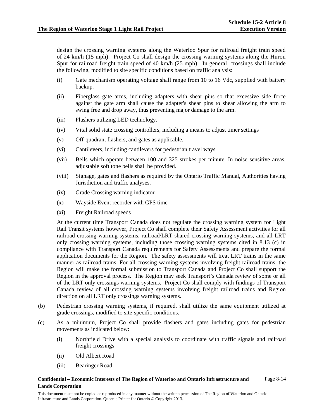design the crossing warning systems along the Waterloo Spur for railroad freight train speed of 24 km/h (15 mph). Project Co shall design the crossing warning systems along the Huron Spur for railroad freight train speed of 40 km/h (25 mph). In general, crossings shall include the following, modified to site specific conditions based on traffic analysis:

- (i) Gate mechanism operating voltage shall range from 10 to 16 Vdc, supplied with battery backup.
- (ii) Fiberglass gate arms, including adapters with shear pins so that excessive side force against the gate arm shall cause the adapter's shear pins to shear allowing the arm to swing free and drop away, thus preventing major damage to the arm.
- (iii) Flashers utilizing LED technology.
- (iv) Vital solid state crossing controllers, including a means to adjust timer settings
- (v) Off-quadrant flashers, and gates as applicable.
- (vi) Cantilevers, including cantilevers for pedestrian travel ways.
- (vii) Bells which operate between 100 and 325 strokes per minute. In noise sensitive areas, adjustable soft tone bells shall be provided.
- (viii) Signage, gates and flashers as required by the Ontario Traffic Manual, Authorities having Jurisdiction and traffic analyses.
- (ix) Grade Crossing warning indicator
- (x) Wayside Event recorder with GPS time
- (xi) Freight Railroad speeds

At the current time Transport Canada does not regulate the crossing warning system for Light Rail Transit systems however, Project Co shall complete their Safety Assessment activities for all railroad crossing warning systems, railroad/LRT shared crossing warning systems, and all LRT only crossing warning systems, including those crossing warning systems cited in 8.13 (c) in compliance with Transport Canada requirements for Safety Assessments and prepare the formal application documents for the Region. The safety assessments will treat LRT trains in the same manner as railroad trains. For all crossing warning systems involving freight railroad trains, the Region will make the formal submission to Transport Canada and Project Co shall support the Region in the approval process. The Region may seek Transport's Canada review of some or all of the LRT only crossings warning systems. Project Co shall comply with findings of Transport Canada review of all crossing warning systems involving freight railroad trains and Region direction on all LRT only crossings warning systems.

- (b) Pedestrian crossing warning systems, if required, shall utilize the same equipment utilized at grade crossings, modified to site-specific conditions.
- (c) As a minimum, Project Co shall provide flashers and gates including gates for pedestrian movements as indicated below:
	- (i) Northfield Drive with a special analysis to coordinate with traffic signals and railroad freight crossings
	- (ii) Old Albert Road
	- (iii) Bearinger Road

#### **Confidential – Economic Interests of The Region of Waterloo and Ontario Infrastructure and Lands Corporation**  Page 8-14

This document must not be copied or reproduced in any manner without the written permission of The Region of Waterloo and Ontario Infrastructure and Lands Corporation. Queen's Printer for Ontario © Copyright 2013.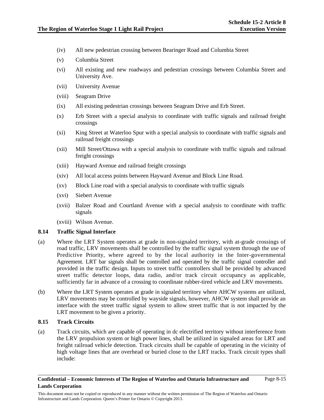- (iv) All new pedestrian crossing between Bearinger Road and Columbia Street
- (v) Columbia Street
- (vi) All existing and new roadways and pedestrian crossings between Columbia Street and University Ave.
- (vii) University Avenue
- (viii) Seagram Drive
- (ix) All existing pedestrian crossings between Seagram Drive and Erb Street.
- (x) Erb Street with a special analysis to coordinate with traffic signals and railroad freight crossings
- (xi) King Street at Waterloo Spur with a special analysis to coordinate with traffic signals and railroad freight crossings
- (xii) Mill Street/Ottawa with a special analysis to coordinate with traffic signals and railroad freight crossings
- (xiii) Hayward Avenue and railroad freight crossings
- (xiv) All local access points between Hayward Avenue and Block Line Road.
- (xv) Block Line road with a special analysis to coordinate with traffic signals
- (xvi) Siebert Avenue
- (xvii) Balzer Road and Courtland Avenue with a special analysis to coordinate with traffic signals
- (xviii) Wilson Avenue.

# **8.14 Traffic Signal Interface**

- (a) Where the LRT System operates at grade in non-signaled territory, with at-grade crossings of road traffic, LRV movements shall be controlled by the traffic signal system through the use of Predictive Priority, where agreed to by the local authority in the Inter-governmental Agreement. LRT bar signals shall be controlled and operated by the traffic signal controller and provided in the traffic design. Inputs to street traffic controllers shall be provided by advanced street traffic detector loops, data radio, and/or track circuit occupancy as applicable, sufficiently far in advance of a crossing to coordinate rubber-tired vehicle and LRV movements.
- (b) Where the LRT System operates at grade in signaled territory where AHCW systems are utilized, LRV movements may be controlled by wayside signals, however, AHCW system shall provide an interface with the street traffic signal system to allow street traffic that is not impacted by the LRT movement to be given a priority.

# **8.15 Track Circuits**

(a) Track circuits, which are capable of operating in dc electrified territory without interference from the LRV propulsion system or high power lines, shall be utilized in signaled areas for LRT and freight railroad vehicle detection. Track circuits shall be capable of operating in the vicinity of high voltage lines that are overhead or buried close to the LRT tracks. Track circuit types shall include: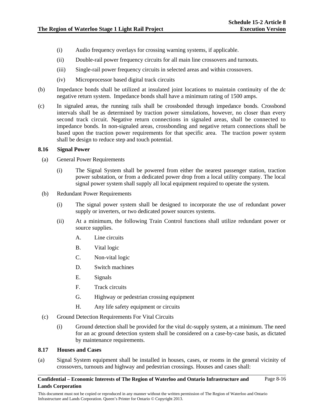- (i) Audio frequency overlays for crossing warning systems, if applicable.
- (ii) Double-rail power frequency circuits for all main line crossovers and turnouts.
- (iii) Single-rail power frequency circuits in selected areas and within crossovers.
- (iv) Microprocessor based digital track circuits
- (b) Impedance bonds shall be utilized at insulated joint locations to maintain continuity of the dc negative return system. Impedance bonds shall have a minimum rating of 1500 amps.
- (c) In signaled areas, the running rails shall be crossbonded through impedance bonds. Crossbond intervals shall be as determined by traction power simulations, however, no closer than every second track circuit. Negative return connections in signaled areas, shall be connected to impedance bonds. In non-signaled areas, crossbonding and negative return connections shall be based upon the traction power requirements for that specific area. The traction power system shall be design to reduce step and touch potential.

### **8.16 Signal Power**

- (a) General Power Requirements
	- (i) The Signal System shall be powered from either the nearest passenger station, traction power substation, or from a dedicated power drop from a local utility company. The local signal power system shall supply all local equipment required to operate the system.
- (b) Redundant Power Requirements
	- (i) The signal power system shall be designed to incorporate the use of redundant power supply or inverters, or two dedicated power sources systems.
	- (ii) At a minimum, the following Train Control functions shall utilize redundant power or source supplies.
		- A. Line circuits
		- B. Vital logic
		- C. Non-vital logic
		- D. Switch machines
		- E. Signals
		- F. Track circuits
		- G. Highway or pedestrian crossing equipment
		- H. Any life safety equipment or circuits
- (c) Ground Detection Requirements For Vital Circuits
	- (i) Ground detection shall be provided for the vital dc-supply system, at a minimum. The need for an ac ground detection system shall be considered on a case-by-case basis, as dictated by maintenance requirements.

# **8.17 Houses and Cases**

(a) Signal System equipment shall be installed in houses, cases, or rooms in the general vicinity of crossovers, turnouts and highway and pedestrian crossings. Houses and cases shall: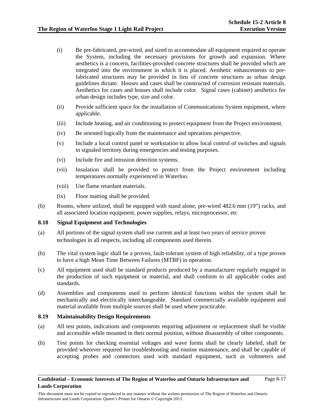- (i) Be pre-fabricated, pre-wired, and sized to accommodate all equipment required to operate the System, including the necessary provisions for growth and expansion. Where aesthetics is a concern, facilities-provided concrete structures shall be provided which are integrated into the environment in which it is placed. Aesthetic enhancements to prefabricated structures may be provided in lieu of concrete structures as urban design guidelines dictate. Houses and cases shall be constructed of corrosion resistant materials. Aesthetics for cases and houses shall include color. Signal cases (cabinet) aesthetics for urban design includes type, size and color.
- (ii) Provide sufficient space for the installation of Communications System equipment, where applicable.
- (iii) Include heating, and air conditioning to protect equipment from the Project environment.
- (iv) Be oriented logically from the maintenance and operations perspective.
- (v) Include a local control panel or workstation to allow local control of switches and signals in signaled territory during emergencies and testing purposes.
- (vi) Include fire and intrusion detection systems.
- (vii) Insulation shall be provided to protect from the Project environment including temperatures normally experienced in Waterloo.
- (viii) Use flame retardant materials.
- (ix) Floor matting shall be provided.
- (b) Rooms, where utilized, shall be equipped with stand alone, pre-wired 482.6 mm (19") racks, and all associated location equipment, power supplies, relays, microprocessor, etc

#### **8.18 Signal Equipment and Technologies**

- (a) All portions of the signal system shall use current and at least two years of service proven technologies in all respects, including all components used therein.
- (b) The vital system logic shall be a proven, fault-tolerant system of high reliability, of a type proven to have a high Mean Time Between Failures (MTBF) in operation.
- (c) All equipment used shall be standard products produced by a manufacturer regularly engaged in the production of such equipment or material, and shall conform to all applicable codes and standards.
- (d) Assemblies and components used to perform identical functions within the system shall be mechanically and electrically interchangeable. Standard commercially available equipment and material available from multiple sources shall be used where practicable.

#### **8.19 Maintainability Design Requirements**

- (a) All test points, indications and components requiring adjustment or replacement shall be visible and accessible while mounted in their normal position, without disassembly of other components.
- (b) Test points for checking essential voltages and wave forms shall be clearly labeled, shall be provided wherever required for troubleshooting and routine maintenance, and shall be capable of accepting probes and connectors used with standard equipment, such as voltmeters and